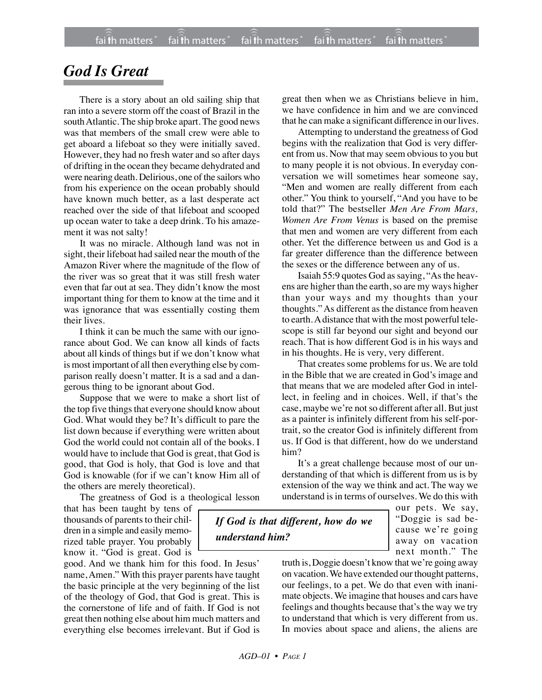## *God Is Great*

There is a story about an old sailing ship that ran into a severe storm off the coast of Brazil in the south Atlantic. The ship broke apart. The good news was that members of the small crew were able to get aboard a lifeboat so they were initially saved. However, they had no fresh water and so after days of drifting in the ocean they became dehydrated and were nearing death. Delirious, one of the sailors who from his experience on the ocean probably should have known much better, as a last desperate act reached over the side of that lifeboat and scooped up ocean water to take a deep drink. To his amazement it was not salty!

It was no miracle. Although land was not in sight, their lifeboat had sailed near the mouth of the Amazon River where the magnitude of the flow of the river was so great that it was still fresh water even that far out at sea. They didn't know the most important thing for them to know at the time and it was ignorance that was essentially costing them their lives.

I think it can be much the same with our ignorance about God. We can know all kinds of facts about all kinds of things but if we don't know what is most important of all then everything else by comparison really doesn't matter. It is a sad and a dangerous thing to be ignorant about God.

Suppose that we were to make a short list of the top five things that everyone should know about God. What would they be? It's difficult to pare the list down because if everything were written about God the world could not contain all of the books. I would have to include that God is great, that God is good, that God is holy, that God is love and that God is knowable (for if we can't know Him all of the others are merely theoretical).

The greatness of God is a theological lesson

that has been taught by tens of thousands of parents to their children in a simple and easily memorized table prayer. You probably know it. "God is great. God is

good. And we thank him for this food. In Jesus' name, Amen." With this prayer parents have taught the basic principle at the very beginning of the list of the theology of God, that God is great. This is the cornerstone of life and of faith. If God is not great then nothing else about him much matters and everything else becomes irrelevant. But if God is great then when we as Christians believe in him, we have confidence in him and we are convinced that he can make a significant difference in our lives.

Attempting to understand the greatness of God begins with the realization that God is very different from us. Now that may seem obvious to you but to many people it is not obvious. In everyday conversation we will sometimes hear someone say, "Men and women are really different from each other." You think to yourself, "And you have to be told that?" The bestseller *Men Are From Mars, Women Are From Venus* is based on the premise that men and women are very different from each other. Yet the difference between us and God is a far greater difference than the difference between the sexes or the difference between any of us.

Isaiah 55:9 quotes God as saying, "As the heavens are higher than the earth, so are my ways higher than your ways and my thoughts than your thoughts." As different as the distance from heaven to earth. A distance that with the most powerful telescope is still far beyond our sight and beyond our reach. That is how different God is in his ways and in his thoughts. He is very, very different.

That creates some problems for us. We are told in the Bible that we are created in God's image and that means that we are modeled after God in intellect, in feeling and in choices. Well, if that's the case, maybe we're not so different after all. But just as a painter is infinitely different from his self-portrait, so the creator God is infinitely different from us. If God is that different, how do we understand him?

It's a great challenge because most of our understanding of that which is different from us is by extension of the way we think and act. The way we understand is in terms of ourselves. We do this with

*If God is that different, how do we understand him?*

our pets. We say, "Doggie is sad because we're going away on vacation next month." The

truth is, Doggie doesn't know that we're going away on vacation. We have extended our thought patterns, our feelings, to a pet. We do that even with inanimate objects. We imagine that houses and cars have feelings and thoughts because that's the way we try to understand that which is very different from us. In movies about space and aliens, the aliens are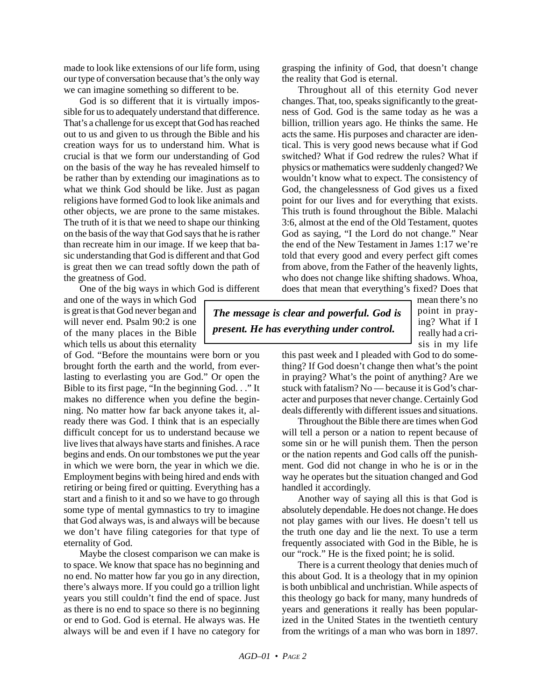made to look like extensions of our life form, using our type of conversation because that's the only way we can imagine something so different to be.

God is so different that it is virtually impossible for us to adequately understand that difference. That's a challenge for us except that God has reached out to us and given to us through the Bible and his creation ways for us to understand him. What is crucial is that we form our understanding of God on the basis of the way he has revealed himself to be rather than by extending our imaginations as to what we think God should be like. Just as pagan religions have formed God to look like animals and other objects, we are prone to the same mistakes. The truth of it is that we need to shape our thinking on the basis of the way that God says that he is rather than recreate him in our image. If we keep that basic understanding that God is different and that God is great then we can tread softly down the path of the greatness of God.

One of the big ways in which God is different

and one of the ways in which God is great is that God never began and will never end. Psalm 90:2 is one of the many places in the Bible which tells us about this eternality

of God. "Before the mountains were born or you brought forth the earth and the world, from everlasting to everlasting you are God." Or open the Bible to its first page, "In the beginning God. . ." It makes no difference when you define the beginning. No matter how far back anyone takes it, already there was God. I think that is an especially difficult concept for us to understand because we live lives that always have starts and finishes. A race begins and ends. On our tombstones we put the year in which we were born, the year in which we die. Employment begins with being hired and ends with retiring or being fired or quitting. Everything has a start and a finish to it and so we have to go through some type of mental gymnastics to try to imagine that God always was, is and always will be because we don't have filing categories for that type of eternality of God.

Maybe the closest comparison we can make is to space. We know that space has no beginning and no end. No matter how far you go in any direction, there's always more. If you could go a trillion light years you still couldn't find the end of space. Just as there is no end to space so there is no beginning or end to God. God is eternal. He always was. He always will be and even if I have no category for grasping the infinity of God, that doesn't change the reality that God is eternal.

Throughout all of this eternity God never changes. That, too, speaks significantly to the greatness of God. God is the same today as he was a billion, trillion years ago. He thinks the same. He acts the same. His purposes and character are identical. This is very good news because what if God switched? What if God redrew the rules? What if physics or mathematics were suddenly changed? We wouldn't know what to expect. The consistency of God, the changelessness of God gives us a fixed point for our lives and for everything that exists. This truth is found throughout the Bible. Malachi 3:6, almost at the end of the Old Testament, quotes God as saying, "I the Lord do not change." Near the end of the New Testament in James 1:17 we're told that every good and every perfect gift comes from above, from the Father of the heavenly lights, who does not change like shifting shadows. Whoa, does that mean that everything's fixed? Does that

*The message is clear and powerful. God is present. He has everything under control.*

mean there's no point in praying? What if I really had a crisis in my life

this past week and I pleaded with God to do something? If God doesn't change then what's the point in praying? What's the point of anything? Are we stuck with fatalism? No — because it is God's character and purposes that never change. Certainly God deals differently with different issues and situations.

Throughout the Bible there are times when God will tell a person or a nation to repent because of some sin or he will punish them. Then the person or the nation repents and God calls off the punishment. God did not change in who he is or in the way he operates but the situation changed and God handled it accordingly.

Another way of saying all this is that God is absolutely dependable. He does not change. He does not play games with our lives. He doesn't tell us the truth one day and lie the next. To use a term frequently associated with God in the Bible, he is our "rock." He is the fixed point; he is solid.

There is a current theology that denies much of this about God. It is a theology that in my opinion is both unbiblical and unchristian. While aspects of this theology go back for many, many hundreds of years and generations it really has been popularized in the United States in the twentieth century from the writings of a man who was born in 1897.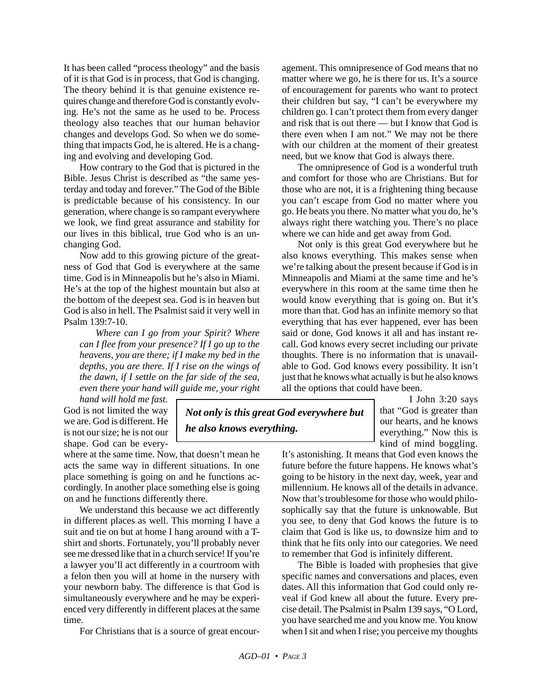It has been called "process theology" and the basis of it is that God is in process, that God is changing. The theory behind it is that genuine existence requires change and therefore God is constantly evolving. He's not the same as he used to be. Process theology also teaches that our human behavior changes and develops God. So when we do something that impacts God, he is altered. He is a changing and evolving and developing God.

How contrary to the God that is pictured in the Bible. Jesus Christ is described as "the same yesterday and today and forever." The God of the Bible is predictable because of his consistency. In our generation, where change is so rampant everywhere we look, we find great assurance and stability for our lives in this biblical, true God who is an unchanging God.

Now add to this growing picture of the greatness of God that God is everywhere at the same time. God is in Minneapolis but he's also in Miami. He's at the top of the highest mountain but also at the bottom of the deepest sea. God is in heaven but God is also in hell. The Psalmist said it very well in Psalm 139:7-10.

*Where can I go from your Spirit? Where can I flee from your presence? If I go up to the heavens, you are there; if I make my bed in the depths, you are there. If I rise on the wings of the dawn, if I settle on the far side of the sea, even there your hand will guide me, your right*

*hand will hold me fast.* God is not limited the way we are. God is different. He is not our size; he is not our shape. God can be every-

where at the same time. Now, that doesn't mean he acts the same way in different situations. In one place something is going on and he functions accordingly. In another place something else is going on and he functions differently there.

We understand this because we act differently in different places as well. This morning I have a suit and tie on but at home I hang around with a Tshirt and shorts. Fortunately, you'll probably never see me dressed like that in a church service! If you're a lawyer you'll act differently in a courtroom with a felon then you will at home in the nursery with your newborn baby. The difference is that God is simultaneously everywhere and he may be experienced very differently in different places at the same time.

For Christians that is a source of great encour-

agement. This omnipresence of God means that no matter where we go, he is there for us. It's a source of encouragement for parents who want to protect their children but say, "I can't be everywhere my children go. I can't protect them from every danger and risk that is out there — but I know that God is there even when I am not." We may not be there with our children at the moment of their greatest need, but we know that God is always there.

The omnipresence of God is a wonderful truth and comfort for those who are Christians. But for those who are not, it is a frightening thing because you can't escape from God no matter where you go. He beats you there. No matter what you do, he's always right there watching you. There's no place where we can hide and get away from God.

Not only is this great God everywhere but he also knows everything. This makes sense when we're talking about the present because if God is in Minneapolis and Miami at the same time and he's everywhere in this room at the same time then he would know everything that is going on. But it's more than that. God has an infinite memory so that everything that has ever happened, ever has been said or done, God knows it all and has instant recall. God knows every secret including our private thoughts. There is no information that is unavailable to God. God knows every possibility. It isn't just that he knows what actually is but he also knows all the options that could have been.

> I John 3:20 says that "God is greater than our hearts, and he knows everything." Now this is kind of mind boggling.

It's astonishing. It means that God even knows the future before the future happens. He knows what's going to be history in the next day, week, year and millennium. He knows all of the details in advance. Now that's troublesome for those who would philosophically say that the future is unknowable. But you see, to deny that God knows the future is to claim that God is like us, to downsize him and to think that he fits only into our categories. We need to remember that God is infinitely different.

The Bible is loaded with prophesies that give specific names and conversations and places, even dates. All this information that God could only reveal if God knew all about the future. Every precise detail. The Psalmist in Psalm 139 says, "O Lord, you have searched me and you know me. You know when I sit and when I rise; you perceive my thoughts

*Not only is this great God everywhere but*

*he also knows everything.*